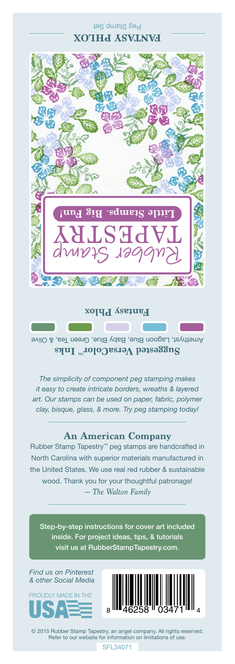## Peg Stamp Set **FANTASY PHLOX**



**Fantasy Phlox**

Amethyst, Lagoon Blue, Baby Blue, Green Tea, & Olive **Suggested VersaColor** Inks

*The simplicity of component peg stamping makes it easy to create intricate borders, wreaths & layered art. Our stamps can be used on paper, fabric, polymer clay, bisque, glass, & more. Try peg stamping today!*

## **An American Company**

*— The Walton Family* Rubber Stamp Tapestry™ peg stamps are handcrafted in North Carolina with superior materials manufactured in the United States. We use real red rubber & sustainable wood. Thank you for your thoughtful patronage!

Step-by-step instructions for cover art included inside. For project ideas, tips, & tutorials visit us at RubberStampTapestry.com.

*Find us on Pinterest & other Social Media*





© 2015 Rubber Stamp Tapestry, an angel company. All rights reserved. Refer to our website for information on limitations of use.